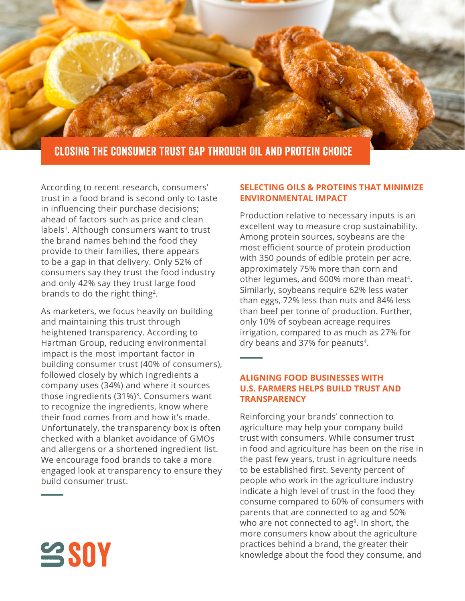

According to recent research, consumers' trust in a food brand is second only to taste in influencing their purchase decisions; ahead of factors such as price and clean labels<sup>1</sup>. Although consumers want to trust the brand names behind the food they provide to their families, there appears to be a gap in that delivery. Only 52% of consumers say they trust the food industry and only 42% say they trust large food brands to do the right thing<sup>2</sup>.

As marketers, we focus heavily on building and maintaining this trust through heightened transparency. According to Hartman Group, reducing environmental impact is the most important factor in building consumer trust (40% of consumers), followed closely by which ingredients a company uses (34%) and where it sources those ingredients  $(31\%)$ <sup>3</sup>. Consumers want to recognize the ingredients, know where their food comes from and how it's made. Unfortunately, the transparency box is often checked with a blanket avoidance of GMOs and allergens or a shortened ingredient list. We encourage food brands to take a more engaged look at transparency to ensure they build consumer trust.

## **SELECTING OILS & PROTEINS THAT MINIMIZE ENVIRONMENTAL IMPACT**

Production relative to necessary inputs is an excellent way to measure crop sustainability. Among protein sources, soybeans are the most efficient source of protein production with 350 pounds of edible protein per acre, approximately 75% more than corn and other legumes, and 600% more than meat<sup>4</sup>. Similarly, soybeans require 62% less water than eggs, 72% less than nuts and 84% less than beef per tonne of production. Further, only 10% of soybean acreage requires irrigation, compared to as much as 27% for dry beans and 37% for peanuts4.

## **ALIGNING FOOD BUSINESSES WITH U.S. FARMERS HELPS BUILD TRUST AND TRANSPARENCY**

Reinforcing your brands' connection to agriculture may help your company build trust with consumers. While consumer trust in food and agriculture has been on the rise in the past few years, trust in agriculture needs to be established first. Seventy percent of people who work in the agriculture industry indicate a high level of trust in the food they consume compared to 60% of consumers with parents that are connected to ag and 50% who are not connected to  $\text{ag}^9$ . In short, the more consumers know about the agriculture practices behind a brand, the greater their knowledge about the food they consume, and